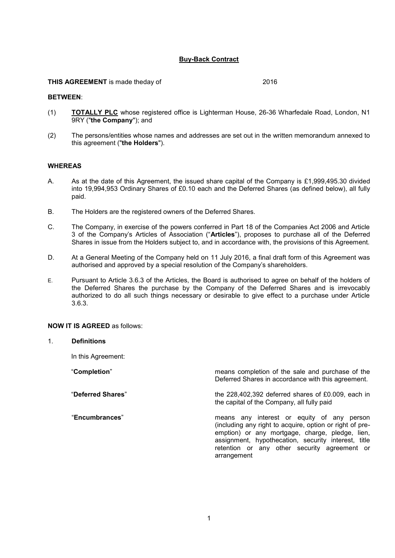# **Buy-Back Contract**

# **THIS AGREEMENT** is made theday of 2016

#### **BETWEEN**:

- (1) **TOTALLY PLC** whose registered office is Lighterman House, 26-36 Wharfedale Road, London, N1 9RY ("**the Company**"); and
- (2) The persons/entities whose names and addresses are set out in the written memorandum annexed to this agreement ("**the Holders**").

# **WHEREAS**

- A. As at the date of this Agreement, the issued share capital of the Company is £1,999,495.30 divided into 19,994,953 Ordinary Shares of £0.10 each and the Deferred Shares (as defined below), all fully paid.
- B. The Holders are the registered owners of the Deferred Shares.
- C. The Company, in exercise of the powers conferred in Part 18 of the Companies Act 2006 and Article 3 of the Company's Articles of Association ("**Articles**"), proposes to purchase all of the Deferred Shares in issue from the Holders subject to, and in accordance with, the provisions of this Agreement.
- D. At a General Meeting of the Company held on 11 July 2016, a final draft form of this Agreement was authorised and approved by a special resolution of the Company's shareholders.
- E. Pursuant to Article 3.6.3 of the Articles, the Board is authorised to agree on behalf of the holders of the Deferred Shares the purchase by the Company of the Deferred Shares and is irrevocably authorized to do all such things necessary or desirable to give effect to a purchase under Article 3.6.3.

## **NOW IT IS AGREED** as follows:

# 1. **Definitions**

In this Agreement:

| "Completion"      | means completion of the sale and purchase of the<br>Deferred Shares in accordance with this agreement.                                                                                                                                                                          |
|-------------------|---------------------------------------------------------------------------------------------------------------------------------------------------------------------------------------------------------------------------------------------------------------------------------|
| "Deferred Shares" | the $228,402,392$ deferred shares of £0.009, each in<br>the capital of the Company, all fully paid                                                                                                                                                                              |
| "Encumbrances"    | means any interest or equity of any person<br>(including any right to acquire, option or right of pre-<br>emption) or any mortgage, charge, pledge, lien,<br>assignment, hypothecation, security interest, title<br>retention or any other security agreement or<br>arrangement |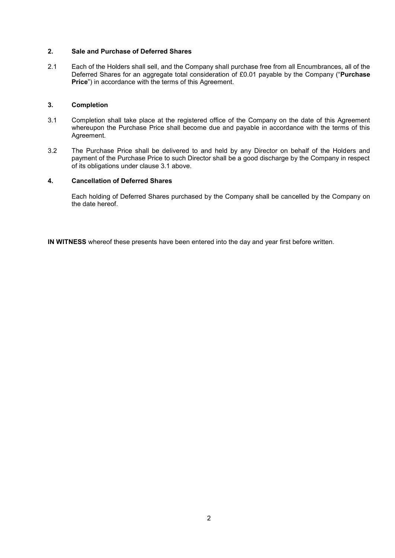# **2. Sale and Purchase of Deferred Shares**

2.1 Each of the Holders shall sell, and the Company shall purchase free from all Encumbrances, all of the Deferred Shares for an aggregate total consideration of £0.01 payable by the Company ("**Purchase Price**") in accordance with the terms of this Agreement.

# **3. Completion**

- 3.1 Completion shall take place at the registered office of the Company on the date of this Agreement whereupon the Purchase Price shall become due and payable in accordance with the terms of this Agreement.
- 3.2 The Purchase Price shall be delivered to and held by any Director on behalf of the Holders and payment of the Purchase Price to such Director shall be a good discharge by the Company in respect of its obligations under clause 3.1 above.

# **4. Cancellation of Deferred Shares**

Each holding of Deferred Shares purchased by the Company shall be cancelled by the Company on the date hereof.

**IN WITNESS** whereof these presents have been entered into the day and year first before written.